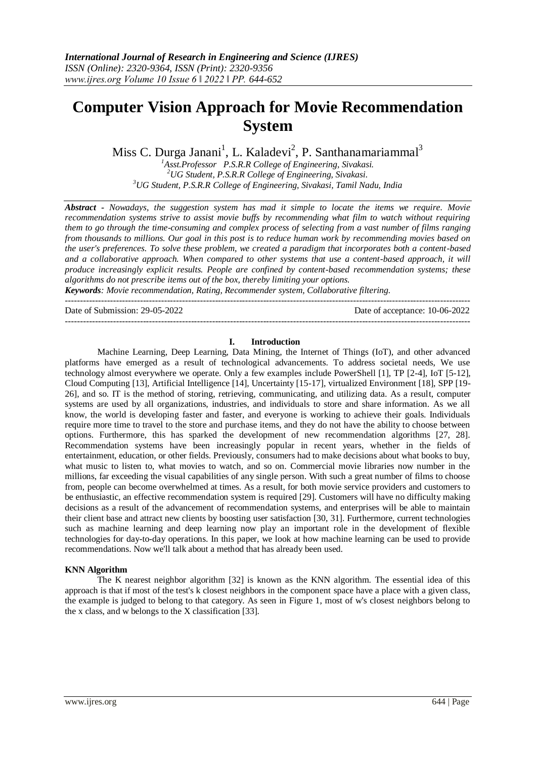# **Computer Vision Approach for Movie Recommendation System**

Miss C. Durga Janani<sup>1</sup>, L. Kaladevi<sup>2</sup>, P. Santhanamariammal<sup>3</sup>

*<sup>1</sup>Asst.Professor P.S.R.R College of Engineering, Sivakasi. <sup>2</sup>UG Student, P.S.R.R College of Engineering, Sivakasi. <sup>3</sup>UG Student, P.S.R.R College of Engineering, Sivakasi, Tamil Nadu, India*

*Abstract - Nowadays, the suggestion system has mad it simple to locate the items we require. Movie recommendation systems strive to assist movie buffs by recommending what film to watch without requiring them to go through the time-consuming and complex process of selecting from a vast number of films ranging from thousands to millions. Our goal in this post is to reduce human work by recommending movies based on the user's preferences. To solve these problem, we created a paradigm that incorporates both a content-based and a collaborative approach. When compared to other systems that use a content-based approach, it will produce increasingly explicit results. People are confined by content-based recommendation systems; these algorithms do not prescribe items out of the box, thereby limiting your options.*

*Keywords: Movie recommendation, Rating, Recommender system, Collaborative filtering.* ---------------------------------------------------------------------------------------------------------------------------------------

Date of Submission: 29-05-2022 Date of acceptance: 10-06-2022

---------------------------------------------------------------------------------------------------------------------------------------

#### **I. Introduction**

Machine Learning, Deep Learning, Data Mining, the Internet of Things (IoT), and other advanced platforms have emerged as a result of technological advancements. To address societal needs, We use technology almost everywhere we operate. Only a few examples include PowerShell [1], TP [2-4], IoT [5-12], Cloud Computing [13], Artificial Intelligence [14], Uncertainty [15-17], virtualized Environment [18], SPP [19- 26], and so. IT is the method of storing, retrieving, communicating, and utilizing data. As a result, computer systems are used by all organizations, industries, and individuals to store and share information. As we all know, the world is developing faster and faster, and everyone is working to achieve their goals. Individuals require more time to travel to the store and purchase items, and they do not have the ability to choose between options. Furthermore, this has sparked the development of new recommendation algorithms [27, 28]. Recommendation systems have been increasingly popular in recent years, whether in the fields of entertainment, education, or other fields. Previously, consumers had to make decisions about what books to buy, what music to listen to, what movies to watch, and so on. Commercial movie libraries now number in the millions, far exceeding the visual capabilities of any single person. With such a great number of films to choose from, people can become overwhelmed at times. As a result, for both movie service providers and customers to be enthusiastic, an effective recommendation system is required [29]. Customers will have no difficulty making decisions as a result of the advancement of recommendation systems, and enterprises will be able to maintain their client base and attract new clients by boosting user satisfaction [30, 31]. Furthermore, current technologies such as machine learning and deep learning now play an important role in the development of flexible technologies for day-to-day operations. In this paper, we look at how machine learning can be used to provide recommendations. Now we'll talk about a method that has already been used.

### **KNN Algorithm**

The K nearest neighbor algorithm [32] is known as the KNN algorithm. The essential idea of this approach is that if most of the test's k closest neighbors in the component space have a place with a given class, the example is judged to belong to that category. As seen in Figure 1, most of w's closest neighbors belong to the x class, and w belongs to the X classification [33].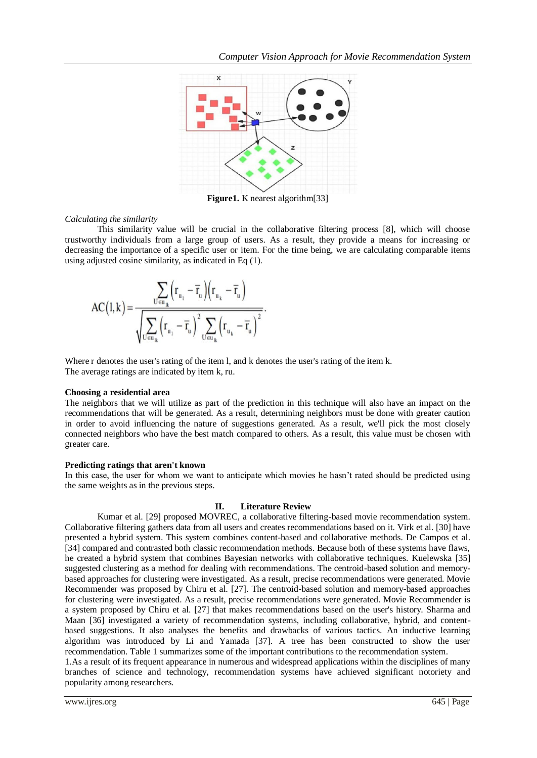

**Figure1.** K nearest algorithm[33]

### *Calculating the similarity*

This similarity value will be crucial in the collaborative filtering process [8], which will choose trustworthy individuals from a large group of users. As a result, they provide a means for increasing or decreasing the importance of a specific user or item. For the time being, we are calculating comparable items using adjusted cosine similarity, as indicated in Eq (1).

$$
AC( l,k)=\frac{\displaystyle\sum_{U\in u_{k}}\Bigl(r_{u_{1}}-\overline{r}_{u}\Bigr)\Bigl(r_{u_{k}}-\overline{r}_{u}\Bigr)}{\sqrt{\displaystyle\sum_{U\in u_{k}}\Bigl(r_{u_{1}}-\overline{r}_{u}\Bigr)^{2}\sum_{U\in u_{k}}\Bigl(r_{u_{k}}-\overline{r}_{u}\Bigr)^{2}}}.
$$

Where r denotes the user's rating of the item l, and k denotes the user's rating of the item k. The average ratings are indicated by item k, ru.

## **Choosing a residential area**

The neighbors that we will utilize as part of the prediction in this technique will also have an impact on the recommendations that will be generated. As a result, determining neighbors must be done with greater caution in order to avoid influencing the nature of suggestions generated. As a result, we'll pick the most closely connected neighbors who have the best match compared to others. As a result, this value must be chosen with greater care.

### **Predicting ratings that aren't known**

In this case, the user for whom we want to anticipate which movies he hasn't rated should be predicted using the same weights as in the previous steps.

### **II. Literature Review**

Kumar et al. [29] proposed MOVREC, a collaborative filtering-based movie recommendation system. Collaborative filtering gathers data from all users and creates recommendations based on it. Virk et al. [30] have presented a hybrid system. This system combines content-based and collaborative methods. De Campos et al. [34] compared and contrasted both classic recommendation methods. Because both of these systems have flaws, he created a hybrid system that combines Bayesian networks with collaborative techniques. Kuelewska [35] suggested clustering as a method for dealing with recommendations. The centroid-based solution and memorybased approaches for clustering were investigated. As a result, precise recommendations were generated. Movie Recommender was proposed by Chiru et al. [27]. The centroid-based solution and memory-based approaches for clustering were investigated. As a result, precise recommendations were generated. Movie Recommender is a system proposed by Chiru et al. [27] that makes recommendations based on the user's history. Sharma and Maan [36] investigated a variety of recommendation systems, including collaborative, hybrid, and contentbased suggestions. It also analyses the benefits and drawbacks of various tactics. An inductive learning algorithm was introduced by Li and Yamada [37]. A tree has been constructed to show the user recommendation. Table 1 summarizes some of the important contributions to the recommendation system.

1.As a result of its frequent appearance in numerous and widespread applications within the disciplines of many branches of science and technology, recommendation systems have achieved significant notoriety and popularity among researchers.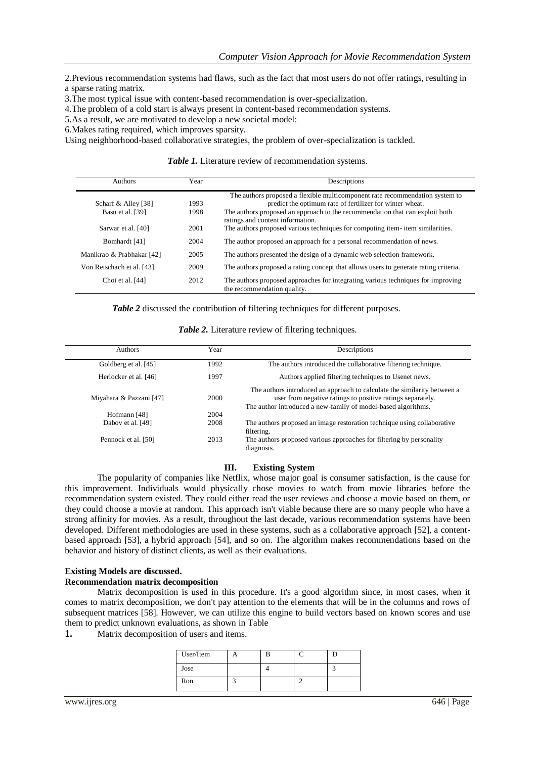2.Previous recommendation systems had flaws, such as the fact that most users do not offer ratings, resulting in a sparse rating matrix.

3.The most typical issue with content-based recommendation is over-specialization.

4.The problem of a cold start is always present in content-based recommendation systems.

5.As a result, we are motivated to develop a new societal model:

6.Makes rating required, which improves sparsity.

Using neighborhood-based collaborative strategies, the problem of over-specialization is tackled.

Table 1. Literature review of recommendation systems.

| <b>Authors</b>            | Year | Descriptions                                                                                                     |  |
|---------------------------|------|------------------------------------------------------------------------------------------------------------------|--|
|                           |      | The authors proposed a flexible multicomponent rate recommendation system to                                     |  |
| Scharf & Alley [38]       | 1993 | predict the optimum rate of fertilizer for winter wheat.                                                         |  |
| Basu et al. [39]          | 1998 | The authors proposed an approach to the recommendation that can exploit both<br>ratings and content information. |  |
| Sarwar et al. [40]        | 2001 | The authors proposed various techniques for computing item-item similarities.                                    |  |
| Bomhardt [41]             | 2004 | The author proposed an approach for a personal recommendation of news.                                           |  |
| Manikrao & Prabhakar [42] | 2005 | The authors presented the design of a dynamic web selection framework.                                           |  |
| Von Reischach et al. [43] | 2009 | The authors proposed a rating concept that allows users to generate rating criteria.                             |  |
| Choi et al. [44]          | 2012 | The authors proposed approaches for integrating various techniques for improving<br>the recommendation quality.  |  |

*Table 2* discussed the contribution of filtering techniques for different purposes.

*Table 2.* Literature review of filtering techniques.

| <b>Authors</b>          | Year | Descriptions                                                                                                                                                                                            |
|-------------------------|------|---------------------------------------------------------------------------------------------------------------------------------------------------------------------------------------------------------|
| Goldberg et al. [45]    | 1992 | The authors introduced the collaborative filtering technique.                                                                                                                                           |
| Herlocker et al. [46]   | 1997 | Authors applied filtering techniques to Usenet news.                                                                                                                                                    |
| Miyahara & Pazzani [47] | 2000 | The authors introduced an approach to calculate the similarity between a<br>user from negative ratings to positive ratings separately.<br>The author introduced a new-family of model-based algorithms. |
| Hofmann [48]            | 2004 |                                                                                                                                                                                                         |
| Dabov et al. [49]       | 2008 | The authors proposed an image restoration technique using collaborative<br>filtering.                                                                                                                   |
| Pennock et al. [50]     | 2013 | The authors proposed various approaches for filtering by personality<br>diagnosis.                                                                                                                      |

#### **III. Existing System**

The popularity of companies like Netflix, whose major goal is consumer satisfaction, is the cause for this improvement. Individuals would physically chose movies to watch from movie libraries before the recommendation system existed. They could either read the user reviews and choose a movie based on them, or they could choose a movie at random. This approach isn't viable because there are so many people who have a strong affinity for movies. As a result, throughout the last decade, various recommendation systems have been developed. Different methodologies are used in these systems, such as a collaborative approach [52], a contentbased approach [53], a hybrid approach [54], and so on. The algorithm makes recommendations based on the behavior and history of distinct clients, as well as their evaluations.

### **Existing Models are discussed.**

#### **Recommendation matrix decomposition**

Matrix decomposition is used in this procedure. It's a good algorithm since, in most cases, when it comes to matrix decomposition, we don't pay attention to the elements that will be in the columns and rows of subsequent matrices [58]. However, we can utilize this engine to build vectors based on known scores and use them to predict unknown evaluations, as shown in Table

**1.** Matrix decomposition of users and items.

| User/Item |  |  |
|-----------|--|--|
| Jose      |  |  |
| Ron       |  |  |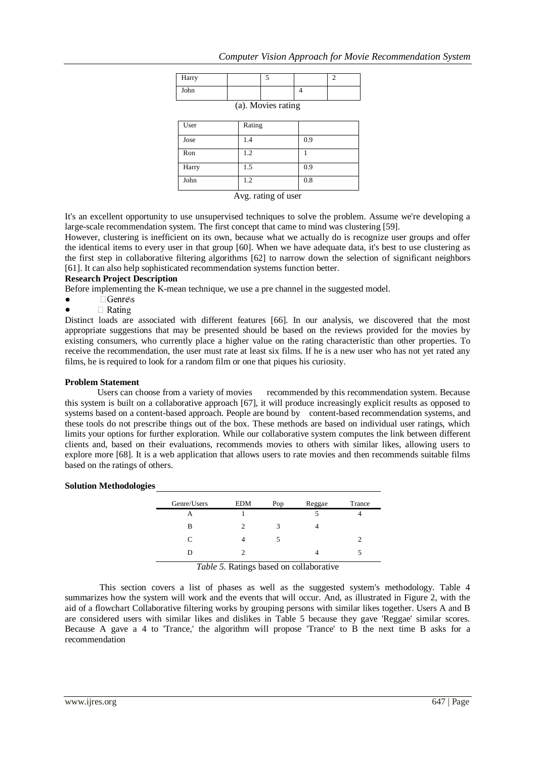| Harry |        | 5                   |     | $\overline{c}$ |
|-------|--------|---------------------|-----|----------------|
| John  |        |                     | 4   |                |
|       |        | (a). Movies rating  |     |                |
| User  | Rating |                     |     |                |
| Jose  | 1.4    |                     | 0.9 |                |
| Ron   | 1.2    |                     |     |                |
| Harry | 1.5    |                     | 0.9 |                |
| John  | 1.2    |                     | 0.8 |                |
|       |        | Avg. rating of user |     |                |

It's an excellent opportunity to use unsupervised techniques to solve the problem. Assume we're developing a large-scale recommendation system. The first concept that came to mind was clustering [59].

However, clustering is inefficient on its own, because what we actually do is recognize user groups and offer the identical items to every user in that group [60]. When we have adequate data, it's best to use clustering as the first step in collaborative filtering algorithms [62] to narrow down the selection of significant neighbors [61]. It can also help sophisticated recommendation systems function better.

## **Research Project Description**

Before implementing the K-mean technique, we use a pre channel in the suggested model.

- $\bullet$   $\Box$  Genre\s
- $\bullet$  $\Box$  Rating

Distinct loads are associated with different features [66]. In our analysis, we discovered that the most appropriate suggestions that may be presented should be based on the reviews provided for the movies by existing consumers, who currently place a higher value on the rating characteristic than other properties. To receive the recommendation, the user must rate at least six films. If he is a new user who has not yet rated any films, he is required to look for a random film or one that piques his curiosity.

## **Problem Statement**

Users can choose from a variety of movies recommended by this recommendation system. Because this system is built on a collaborative approach [67], it will produce increasingly explicit results as opposed to systems based on a content-based approach. People are bound by content-based recommendation systems, and these tools do not prescribe things out of the box. These methods are based on individual user ratings, which limits your options for further exploration. While our collaborative system computes the link between different clients and, based on their evaluations, recommends movies to others with similar likes, allowing users to explore more [68]. It is a web application that allows users to rate movies and then recommends suitable films based on the ratings of others.

### **Solution Methodologies**

| Genre/Users | <b>EDM</b> | Pop | Reggae | Trance |
|-------------|------------|-----|--------|--------|
|             |            |     |        |        |
| В           |            | 3   |        |        |
| C           |            |     |        |        |
|             |            |     |        |        |
|             | _______    |     |        |        |

*Table 5.* Ratings based on collaborative

This section covers a list of phases as well as the suggested system's methodology. Table 4 summarizes how the system will work and the events that will occur. And, as illustrated in Figure 2, with the aid of a flowchart Collaborative filtering works by grouping persons with similar likes together. Users A and B are considered users with similar likes and dislikes in Table 5 because they gave 'Reggae' similar scores. Because A gave a 4 to 'Trance,' the algorithm will propose 'Trance' to B the next time B asks for a recommendation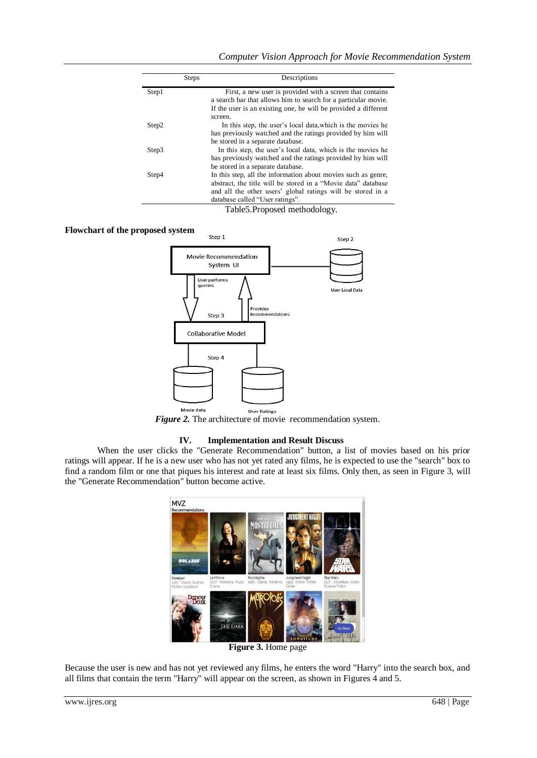|       | <b>Steps</b> | Descriptions                                                                                                                                                                                                                     |
|-------|--------------|----------------------------------------------------------------------------------------------------------------------------------------------------------------------------------------------------------------------------------|
| Step1 |              | First, a new user is provided with a screen that contains<br>a search bar that allows him to search for a particular movie.                                                                                                      |
|       |              | If the user is an existing one, he will be provided a different<br>screen.                                                                                                                                                       |
| Step2 |              | In this step, the user's local data, which is the movies he<br>has previously watched and the ratings provided by him will                                                                                                       |
|       |              | be stored in a separate database.                                                                                                                                                                                                |
| Step3 |              | In this step, the user's local data, which is the movies he<br>has previously watched and the ratings provided by him will<br>be stored in a separate database.                                                                  |
| Step4 |              | In this step, all the information about movies such as genre,<br>abstract, the title will be stored in a "Movie data" database<br>and all the other users' global ratings will be stored in a<br>database called "User ratings". |
|       |              | Table 5. Proposed methodology.                                                                                                                                                                                                   |

## **Flowchart of the proposed system**



*Figure 2.* The architecture of movie recommendation system.

#### **IV. Implementation and Result Discuss**

When the user clicks the "Generate Recommendation" button, a list of movies based on his prior ratings will appear. If he is a new user who has not yet rated any films, he is expected to use the "search" box to find a random film or one that piques his interest and rate at least six films. Only then, as seen in Figure 3, will the "Generate Recommendation" button become active.



**Figure 3.** Home page

Because the user is new and has not yet reviewed any films, he enters the word "Harry" into the search box, and all films that contain the term "Harry" will appear on the screen, as shown in Figures 4 and 5.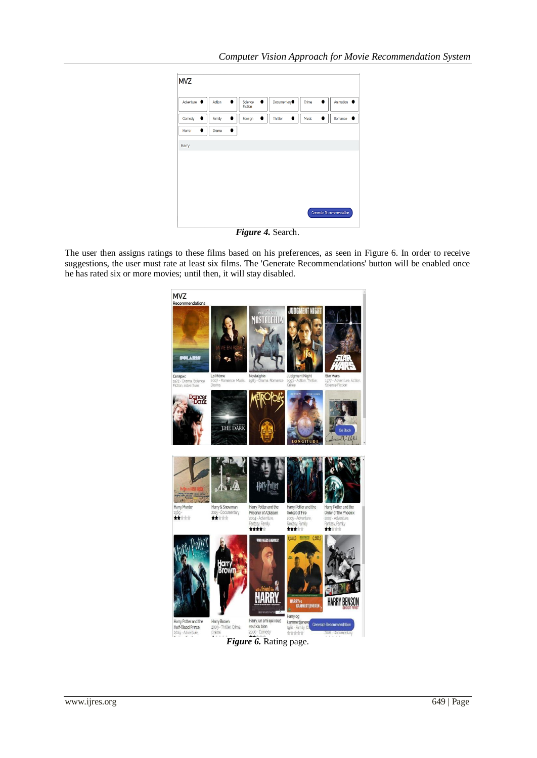

*Figure 4.* Search.

The user then assigns ratings to these films based on his preferences, as seen in Figure 6. In order to receive suggestions, the user must rate at least six films. The 'Generate Recommendations' button will be enabled once he has rated six or more movies; until then, it will stay disabled.

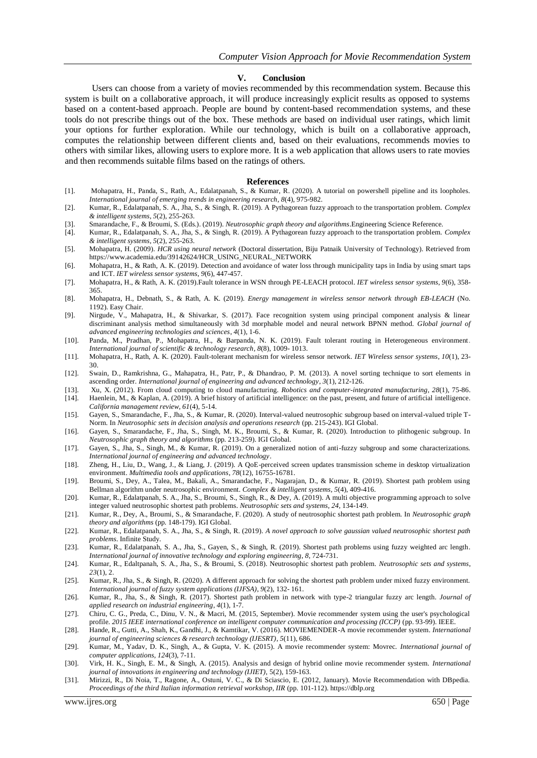#### **V. Conclusion**

 Users can choose from a variety of movies recommended by this recommendation system. Because this system is built on a collaborative approach, it will produce increasingly explicit results as opposed to systems based on a content-based approach. People are bound by content-based recommendation systems, and these tools do not prescribe things out of the box. These methods are based on individual user ratings, which limit your options for further exploration. While our technology, which is built on a collaborative approach, computes the relationship between different clients and, based on their evaluations, recommends movies to others with similar likes, allowing users to explore more. It is a web application that allows users to rate movies and then recommends suitable films based on the ratings of others.

#### **References**

- [1]. Mohapatra, H., Panda, S., Rath, A., Edalatpanah, S., & Kumar, R. (2020). A tutorial on powershell pipeline and its loopholes. *International journal of emerging trends in engineering research*, *8*(4), 975-982.
- [2]. Kumar, R., Edalatpanah, S. A., Jha, S., & Singh, R. (2019). A Pythagorean fuzzy approach to the transportation problem. *Complex & intelligent systems*, *5*(2), 255-263.
- [3]. Smarandache, F., & Broumi, S. (Eds.). (2019). *Neutrosophic graph theory and algorithms*.Engineering Science Reference.
- [4]. Kumar, R., Edalatpanah, S. A., Jha, S., & Singh, R. (2019). A Pythagorean fuzzy approach to the transportation problem. *Complex & intelligent systems*, *5*(2), 255-263.
- [5]. Mohapatra, H. (2009). *HCR using neural network* (Doctoral dissertation, Biju Patnaik University of Technology). Retrieved from https:/[/www.academia.edu/39142624/HCR\\_USING\\_NEURAL\\_NETWORK](http://www.academia.edu/39142624/HCR_USING_NEURAL_NETWORK)
- [6]. Mohapatra, H., & Rath, A. K. (2019). Detection and avoidance of water loss through municipality taps in India by using smart taps and ICT. *IET wireless sensor systems*, *9*(6), 447-457.
- [7]. Mohapatra, H., & Rath, A. K. (2019).Fault tolerance in WSN through PE-LEACH protocol. *IET wireless sensor systems*, *9*(6), 358- 365.
- [8]. Mohapatra, H., Debnath, S., & Rath, A. K. (2019). *Energy management in wireless sensor network through EB-LEACH* (No. 1192). Easy Chair.
- [9]. Nirgude, V., Mahapatra, H., & Shivarkar, S. (2017). Face recognition system using principal component analysis & linear discriminant analysis method simultaneously with 3d morphable model and neural network BPNN method. *Global journal of advanced engineering technologies and sciences*, *4*(1), 1-6.
- [10]. Panda, M., Pradhan, P., Mohapatra, H., & Barpanda, N. K. (2019). Fault tolerant routing in Heterogeneous environment. *[International journal of scientific & technology research,](https://www.researchgate.net/journal/2277-8616_International_Journal_of_Scientific_Technology_Research) 8*(8)*,* 1009- 1013.
- [11]. Mohapatra, H., Rath, A. K. (2020). Fault-tolerant mechanism for wireless sensor network. *IET Wireless sensor systems*, *10*(1), 23- 30.
- [12]. Swain, D., Ramkrishna, G., Mahapatra, H., Patr, P., & Dhandrao, P. M. (2013). A novel sorting technique to sort elements in ascending order. *International journal of engineering and advanced technology*, *3*(1), 212-126.
- [13]. Xu, X. (2012). From cloud computing to cloud manufacturing. *Robotics and computer-integrated manufacturing*, *28*(1), 75-86. [14]. Haenlein, M., & Kaplan, A. (2019). A brief history of artificial intelligence: on the past, present, and future of artificial intelligence.
- *California management review*, *61*(4), 5-14. [15]. Gayen, S., Smarandache, F., Jha, S., & Kumar, R. (2020). Interval-valued neutrosophic subgroup based on interval-valued triple T-
- Norm. In *Neutrosophic sets in decision analysis and operations research* (pp. 215-243). IGI Global. [16]. Gayen, S., Smarandache, F., Jha, S., Singh, M. K., Broumi, S., & Kumar, R. (2020). Introduction to plithogenic subgroup. In
- *Neutrosophic graph theory and algorithms* (pp. 213-259). IGI Global.
- [17]. Gayen, S., Jha, S., Singh, M., & Kumar, R. (2019). On a generalized notion of anti-fuzzy subgroup and some characterizations. *International journal of engineering and advanced technology*.
- [18]. Zheng, H., Liu, D., Wang, J., & Liang, J. (2019). A QoE-perceived screen updates transmission scheme in desktop virtualization environment. *Multimedia tools and applications*, *78*(12), 16755-16781.
- [19]. Broumi, S., Dey, A., Talea, M., Bakali, A., Smarandache, F., Nagarajan, D., & Kumar, R. (2019). Shortest path problem using Bellman algorithm under neutrosophic environment. *Complex & intelligent systems*, *5*(4), 409-416.
- [20]. Kumar, R., Edalatpanah, S. A., Jha, S., Broumi, S., Singh, R., & Dey, A. (2019). A multi objective programming approach to solve integer valued neutrosophic shortest path problems. *Neutrosophic sets and systems*, *24*, 134-149.
- [21]. Kumar, R., Dey, A., Broumi, S., & Smarandache, F. (2020). A study of neutrosophic shortest path problem. In *Neutrosophic graph theory and algorithms* (pp. 148-179). IGI Global.
- [22]. Kumar, R., Edalatpanah, S. A., Jha, S., & Singh, R. (2019). *A novel approach to solve gaussian valued neutrosophic shortest path problems*. Infinite Study.
- [23]. Kumar, R., Edalatpanah, S. A., Jha, S., Gayen, S., & Singh, R. (2019). Shortest path problems using fuzzy weighted arc length. *International journal of innovative technology and exploring engineering*, *8*, 724-731.
- [24]. Kumar, R., Edaltpanah, S. A., Jha, S., & Broumi, S. (2018). Neutrosophic shortest path problem. *Neutrosophic sets and systems*, *23*(1), 2.
- [25]. Kumar, R., Jha, S., & Singh, R. (2020). A different approach for solving the shortest path problem under mixed fuzzy environment. *International journal of fuzzy system applications (IJFSA)*, *9*(2), 132- 161.
- [26]. Kumar, R., Jha, S., & Singh, R. (2017). Shortest path problem in network with type-2 triangular fuzzy arc length. *Journal of applied research on industrial engineering*, *4*(1), 1-7.
- [27]. Chiru, C. G., Preda, C., Dinu, V. N., & Macri, M. (2015, September). Movie recommender system using the user's psychological profile. *2015 IEEE international conference on intelligent computer communication and processing (ICCP)* (pp. 93-99). IEEE.
- [28]. Hande, R., Gutti, A., Shah, K., Gandhi, J., & Kamtikar, V. (2016). MOVIEMENDER-A movie recommender system. *International journal of engineering sciences & research technology (IJESRT)*, *5*(11), 686.
- [29]. Kumar, M., Yadav, D. K., Singh, A., & Gupta, V. K. (2015). A movie recommender system: Movrec. *[International journal of](https://www.researchgate.net/journal/0975-8887_International_Journal_of_Computer_Applications)  [computer applications, 1](https://www.researchgate.net/journal/0975-8887_International_Journal_of_Computer_Applications)24*(3), 7-11.
- [30]. Virk, H. K., Singh, E. M., & Singh, A. (2015). Analysis and design of hybrid online movie recommender system. *International journal of innovations in engineering and technology (IJIET),* 5(2), 159-163.
- [31]. Mirizzi, R., Di Noia, T., Ragone, A., Ostuni, V. C., & Di Sciascio, E. (2012, January). Movie Recommendation with DBpedia. *Proceedings of the third Italian information retrieval workshop, IIR* (pp. 101-112). https://dblp.org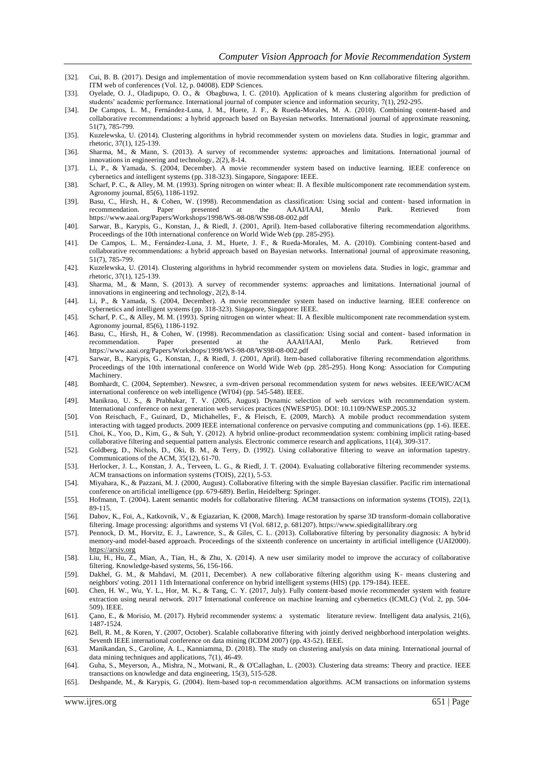- [32]. Cui, B. B. (2017). Design and implementation of movie recommendation system based on Knn collaborative filtering algorithm. ITM web of conferences (Vol. 12, p. 04008). EDP Sciences.
- [33]. Oyelade, O. J., Oladipupo, O. O., & Obagbuwa, I. C. (2010). Application of k means clustering algorithm for prediction of students' academic performance[. International journal of computer science](https://www.researchgate.net/journal/1947-5500_International_Journal_of_Computer_Science_and_Information_Security) [and information security, 7](https://www.researchgate.net/journal/1947-5500_International_Journal_of_Computer_Science_and_Information_Security)(1), 292-295.
- [34]. De Campos, L. M., Fernández-Luna, J. M., Huete, J. F., & Rueda-Morales, M. A. (2010). Combining content-based and collaborative recommendations: a hybrid approach based on Bayesian networks. International journal of approximate reasoning, 51(7), 785-799.
- [35]. Kuzelewska, U. (2014). Clustering algorithms in hybrid recommender system on movielens data. Studies in logic, grammar and rhetoric, 37(1), 125-139.
- [36]. Sharma, M., & Mann, S. (2013). A survey of recommender systems: approaches and limitations. International journal of innovations in engineering and technology, 2(2), 8-14.
- [37]. Li, P., & Yamada, S. (2004, December). A movie recommender system based on inductive learning. IEEE conference on cybernetics and intelligent systems (pp. 318-323). Singapore, Singapore: IEEE.
- [38]. Scharf, P. C., & Alley, M. M. (1993). Spring nitrogen on winter wheat: II. A flexible multicomponent rate recommendation system. Agronomy journal, 85(6), 1186-1192.
- [39]. Basu, C., Hirsh, H., & Cohen, W. (1998). Recommendation as classification: Using social and content- based information in recommendation. Paper presented at the AAAI/IAAI, Menlo Park. Retrieved from https:/[/www.aaai.org/Papers/Workshops/1998/WS-98-08/WS98-08-002.pdf](http://www.aaai.org/Papers/Workshops/1998/WS-98-08/WS98-08-002.pdf)
- [40]. Sarwar, B., Karypis, G., Konstan, J., & Riedl, J. (2001, April). Item-based collaborative filtering recommendation algorithms. Proceedings of the 10th international conference on World Wide Web (pp. 285-295).
- [41]. De Campos, L. M., Fernández-Luna, J. M., Huete, J. F., & Rueda-Morales, M. A. (2010). Combining content-based and collaborative recommendations: a hybrid approach based on Bayesian networks. International journal of approximate reasoning, 51(7), 785-799.
- [42]. Kuzelewska, U. (2014). Clustering algorithms in hybrid recommender system on movielens data. Studies in logic, grammar and rhetoric, 37(1), 125-139.
- [43]. Sharma, M., & Mann, S. (2013). A survey of recommender systems: approaches and limitations. International journal of innovations in engineering and technology, 2(2), 8-14.
- [44]. Li, P., & Yamada, S. (2004, December). A movie recommender system based on inductive learning. IEEE conference on cybernetics and intelligent systems (pp. 318-323). Singapore, Singapore: IEEE.
- [45]. Scharf, P. C., & Alley, M. M. (1993). Spring nitrogen on winter wheat: II. A flexible multicomponent rate recommendation system. Agronomy journal, 85(6), 1186-1192.
- [46]. Basu, C., Hirsh, H., & Cohen, W. (1998). Recommendation as classification: Using social and content- based information in recommendation. Paper presented at the AAAI/IAAI, Menlo Park. Retrieved from https:/[/www.aaai.org/Papers/Workshops/1998/WS-98-08/WS98-08-002.pdf](http://www.aaai.org/Papers/Workshops/1998/WS-98-08/WS98-08-002.pdf)
- [47]. Sarwar, B., Karypis, G., Konstan, J., & Riedl, J. (2001, April). Item-based collaborative filtering recommendation algorithms. Proceedings of the 10th international conference on World Wide Web (pp. 285-295). Hong Kong: Association for Computing Machinery.
- [48]. Bomhardt, C. (2004, September). Newsrec, a svm-driven personal recommendation system for news websites. IEEE/WIC/ACM international conference on web intelligence (WI'04) (pp. 545-548). IEEE.
- [49]. Manikrao, U. S., & Prabhakar, T. V. (2005, August). Dynamic selection of web services with recommendation system. International conference on next generation web services practices (NWESP'05). DOI: 10.1109/NWESP.2005.32
- [50]. Von Reischach, F., Guinard, D., Michahelles, F., & Fleisch, E. (2009, March). A mobile product recommendation system interacting with tagged products. 2009 IEEE international conference on pervasive computing and communications (pp. 1-6). IEEE.
- [51]. Choi, K., Yoo, D., Kim, G., & Suh, Y. (2012). A hybrid online-product recommendation system: combining implicit rating-based collaborative filtering and sequential pattern analysis. Electronic commerce research and applications, 11(4), 309-317.
- [52]. Goldberg, D., Nichols, D., Oki, B. M., & Terry, D. (1992). Using collaborative filtering to weave an information tapestry. Communications of the ACM, 35(12), 61-70.
- [53]. Herlocker, J. L., Konstan, J. A., Terveen, L. G., & Riedl, J. T. (2004). Evaluating collaborative filtering recommender systems. ACM transactions on information systems (TOIS), 22(1), 5-53.
- [54]. Miyahara, K., & Pazzani, M. J. (2000, August). Collaborative filtering with the simple Bayesian classifier. Pacific rim international conference on artificial intelligence (pp. 679-689). Berlin, Heidelberg: Springer.
- [55]. Hofmann, T. (2004). Latent semantic models for collaborative filtering. ACM transactions on information systems (TOIS), 22(1), 89-115.
- [56]. Dabov, K., Foi, A., Katkovnik, V., & Egiazarian, K. (2008, March). Image restoration by sparse 3D transform-domain collaborative filtering. Image processing: algorithms and systems VI (Vol. 6812, p. 681207)[. https://www.spiedigitallibrary.org](https://www.spiedigitallibrary.org/)
- [57]. Pennock, D. M., Horvitz, E. J., Lawrence, S., & Giles, C. L. (2013). Collaborative filtering by personality diagnosis: A hybrid memory-and model-based approach. Proceedings of the sixteenth conference on uncertainty in artificial intelligence (UAI2000). [https://arxiv.org](https://arxiv.org/)
- [58]. Liu, H., Hu, Z., Mian, A., Tian, H., & Zhu, X. (2014). A new user similarity model to improve the accuracy of collaborative filtering. Knowledge-based systems, 56, 156-166.
- [59]. Dakhel, G. M., & Mahdavi, M. (2011, December). A new collaborative filtering algorithm using K- means clustering and neighbors' voting. 2011 11th International conference on hybrid intelligent systems (HIS) (pp. 179-184). IEEE.
- [60]. Chen, H. W., Wu, Y. L., Hor, M. K., & Tang, C. Y. (2017, July). Fully content-based movie recommender system with feature extraction using neural network. 2017 International conference on machine learning and cybernetics (ICMLC) (Vol. 2, pp. 504- 509). IEEE.
- [61]. Çano, E., & Morisio, M. (2017). Hybrid recommender systems: a systematic literature review. Intelligent data analysis, 21(6), 1487-1524.
- [62]. Bell, R. M., & Koren, Y. (2007, October). Scalable collaborative filtering with jointly derived neighborhood interpolation weights. Seventh IEEE international conference on data mining (ICDM 2007) (pp. 43-52). IEEE.
- [63]. Manikandan, S., Caroline, A. L., Kanniamma, D. (2018). The study on clustering analysis on data mining. International journal of data mining techniques and applications, 7(1), 46-49.
- [64]. Guha, S., Meyerson, A., Mishra, N., Motwani, R., & O'Callaghan, L. (2003). Clustering data streams: Theory and practice. IEEE transactions on knowledge and data engineering, 15(3), 515-528.
- [65]. Deshpande, M., & Karypis, G. (2004). Item-based top-n recommendation algorithms. ACM transactions on information systems